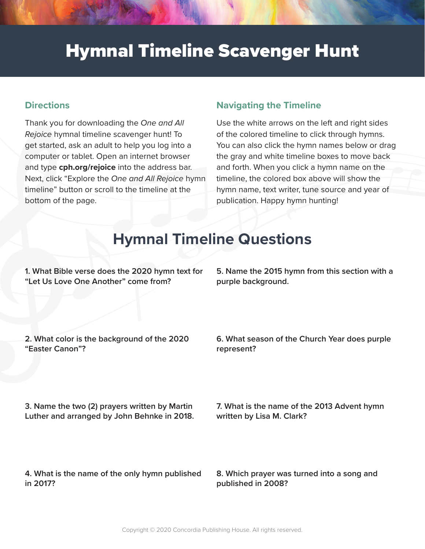## Hymnal Timeline Scavenger Hunt

## **Directions**

Thank you for downloading the *One and All Rejoice* hymnal timeline scavenger hunt! To get started, ask an adult to help you log into a computer or tablet. Open an internet browser and type **cph.org/rejoice** into the address bar. Next, click "Explore the *One and All Rejoice* hymn timeline" button or scroll to the timeline at the bottom of the page.

## **Navigating the Timeline**

Use the white arrows on the left and right sides of the colored timeline to click through hymns. You can also click the hymn names below or drag the gray and white timeline boxes to move back and forth. When you click a hymn name on the timeline, the colored box above will show the hymn name, text writer, tune source and year of publication. Happy hymn hunting!

## **Hymnal Timeline Questions**

**1. What Bible verse does the 2020 hymn text for "Let Us Love One Another" come from?** 

**5. Name the 2015 hymn from this section with a purple background.** 

**2. What color is the background of the 2020 "Easter Canon"?** 

**6. What season of the Church Year does purple represent?** 

**3. Name the two (2) prayers written by Martin Luther and arranged by John Behnke in 2018.** 

**4. What is the name of the only hymn published in 2017?** 

**7. What is the name of the 2013 Advent hymn written by Lisa M. Clark?** 

**8. Which prayer was turned into a song and published in 2008?**